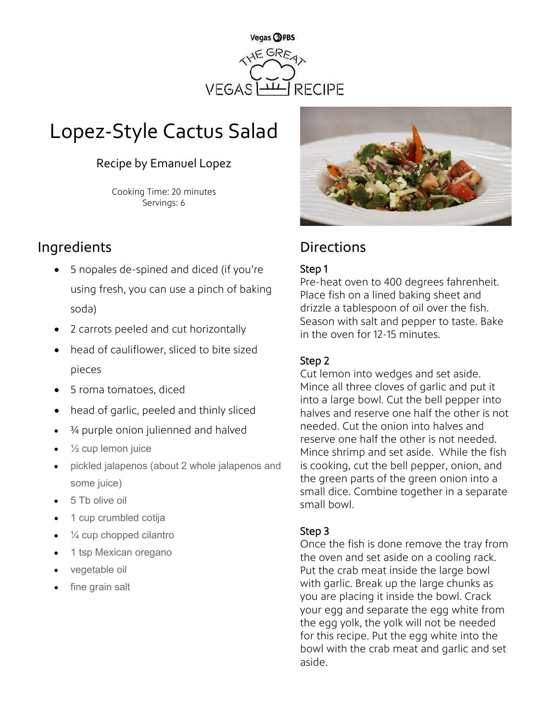

# Lopez-Style Cactus Salad

### Recipe by Emanuel Lopez

Cooking Time: 20 minutes Servings: 6

## Ingredients **Directions**

- 5 nopales de-spined and diced (if you're using fresh, you can use a pinch of baking soda)
- 2 carrots peeled and cut horizontally
- head of cauliflower, sliced to bite sized pieces
- 5 roma tomatoes, diced
- head of garlic, peeled and thinly sliced
- ¾ purple onion julienned and halved
- $\frac{1}{2}$  cup lemon juice
- pickled jalapenos (about 2 whole jalapenos and some juice)
- 5 Tb olive oil
- 1 cup crumbled cotija
- $\frac{1}{4}$  cup chopped cilantro
- 1 tsp Mexican oregano
- vegetable oil
- fine grain salt



#### Step 1

Pre-heat oven to 400 degrees fahrenheit. Place fish on a lined baking sheet and drizzle a tablespoon of oil over the fish. Season with salt and pepper to taste. Bake in the oven for 12-15 minutes.

#### Step 2

Cut lemon into wedges and set aside. Mince all three cloves of garlic and put it into a large bowl. Cut the bell pepper into halves and reserve one half the other is not needed. Cut the onion into halves and reserve one half the other is not needed. Mince shrimp and set aside. While the fish is cooking, cut the bell pepper, onion, and the green parts of the green onion into a small dice. Combine together in a separate small bowl.

#### Step 3

Once the fish is done remove the tray from the oven and set aside on a cooling rack. Put the crab meat inside the large bowl with garlic. Break up the large chunks as you are placing it inside the bowl. Crack your egg and separate the egg white from the egg yolk, the yolk will not be needed for this recipe. Put the egg white into the bowl with the crab meat and garlic and set aside.